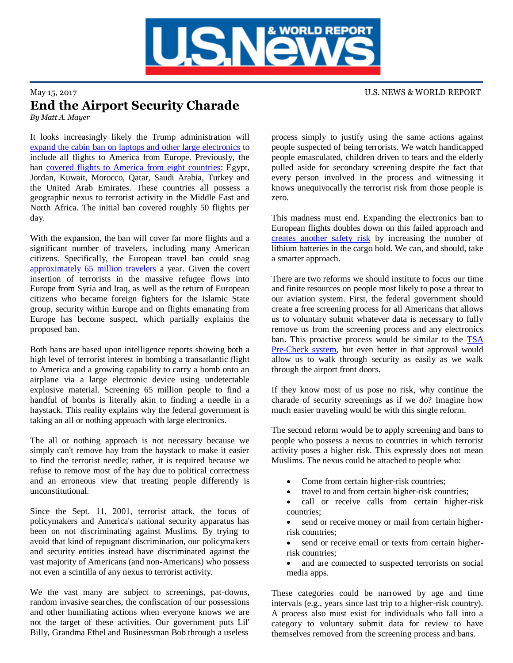

## May 15, 2017 U.S. NEWS & WORLD REPORT End the Airport Security Charade *By Matt A. Mayer*

It looks increasingly likely the Trump administration will [expand the cabin ban on laptops and other large electronics](http://www.reuters.com/article/us-usa-airlines-electronics-ban-idUSKBN1862QS) to include all flights to America from Europe. Previously, the ban [covered flights to America from eight countries:](https://www.nytimes.com/2017/03/21/us/politics/tsa-ban-electronics-laptops-cabin.html) Egypt, Jordan, Kuwait, Morocco, Qatar, Saudi Arabia, Turkey and the United Arab Emirates. These countries all possess a geographic nexus to terrorist activity in the Middle East and North Africa. The initial ban covered roughly 50 flights per day.

With the expansion, the ban will cover far more flights and a significant number of travelers, including many American citizens. Specifically, the European travel ban could snag [approximately 65 million travelers](http://www.chicagotribune.com/business/ct-europe-flight-laptop-ban-20170512-story.html) a year. Given the covert insertion of terrorists in the massive refugee flows into Europe from Syria and Iraq, as well as the return of European citizens who became foreign fighters for the Islamic State group, security within Europe and on flights emanating from Europe has become suspect, which partially explains the proposed ban.

Both bans are based upon intelligence reports showing both a high level of terrorist interest in bombing a transatlantic flight to America and a growing capability to carry a bomb onto an airplane via a large electronic device using undetectable explosive material. Screening 65 million people to find a handful of bombs is literally akin to finding a needle in a haystack. This reality explains why the federal government is taking an all or nothing approach with large electronics.

The all or nothing approach is not necessary because we simply can't remove hay from the haystack to make it easier to find the terrorist needle; rather, it is required because we refuse to remove most of the hay due to political correctness and an erroneous view that treating people differently is unconstitutional.

Since the Sept. 11, 2001, terrorist attack, the focus of policymakers and America's national security apparatus has been on not discriminating against Muslims. By trying to avoid that kind of repugnant discrimination, our policymakers and security entities instead have discriminated against the vast majority of Americans (and non-Americans) who possess not even a scintilla of any nexus to terrorist activity.

We the vast many are subject to screenings, pat-downs, random invasive searches, the confiscation of our possessions and other humiliating actions when everyone knows we are not the target of these activities. Our government puts Lil' Billy, Grandma Ethel and Businessman Bob through a useless

process simply to justify using the same actions against people suspected of being terrorists. We watch handicapped people emasculated, children driven to tears and the elderly pulled aside for secondary screening despite the fact that every person involved in the process and witnessing it knows unequivocally the terrorist risk from those people is zero.

This madness must end. Expanding the electronics ban to European flights doubles down on this failed approach and [creates another safety risk](http://money.cnn.com/2017/05/12/news/laptop-ban-batteries-fire-risk-europe/) by increasing the number of lithium batteries in the cargo hold. We can, and should, take a smarter approach.

There are two reforms we should institute to focus our time and finite resources on people most likely to pose a threat to our aviation system. First, the federal government should create a free screening process for all Americans that allows us to voluntary submit whatever data is necessary to fully remove us from the screening process and any electronics ban. This proactive process would be similar to the [TSA](https://www.tsa.gov/precheck)  [Pre-Check system,](https://www.tsa.gov/precheck) but even better in that approval would allow us to walk through security as easily as we walk through the airport front doors.

If they know most of us pose no risk, why continue the charade of security screenings as if we do? Imagine how much easier traveling would be with this single reform.

The second reform would be to apply screening and bans to people who possess a nexus to countries in which terrorist activity poses a higher risk. This expressly does not mean Muslims. The nexus could be attached to people who:

- Come from certain higher-risk countries;
- travel to and from certain higher-risk countries;
- call or receive calls from certain higher-risk countries;
- send or receive money or mail from certain higherrisk countries;
- send or receive email or texts from certain higherrisk countries;
- and are connected to suspected terrorists on social media apps.

These categories could be narrowed by age and time intervals (e.g., years since last trip to a higher-risk country). A process also must exist for individuals who fall into a category to voluntary submit data for review to have themselves removed from the screening process and bans.